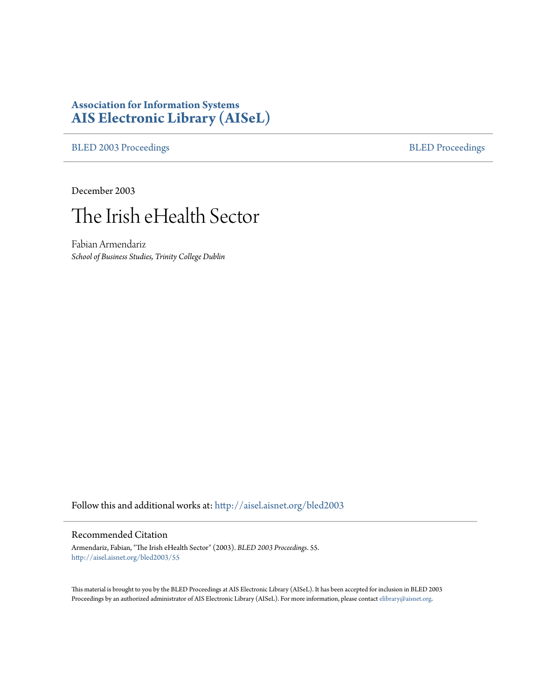# **Association for Information Systems [AIS Electronic Library \(AISeL\)](http://aisel.aisnet.org?utm_source=aisel.aisnet.org%2Fbled2003%2F55&utm_medium=PDF&utm_campaign=PDFCoverPages)**

[BLED 2003 Proceedings](http://aisel.aisnet.org/bled2003?utm_source=aisel.aisnet.org%2Fbled2003%2F55&utm_medium=PDF&utm_campaign=PDFCoverPages) **[BLED Proceedings](http://aisel.aisnet.org/bled?utm_source=aisel.aisnet.org%2Fbled2003%2F55&utm_medium=PDF&utm_campaign=PDFCoverPages)** 

December 2003



Fabian Armendariz *School of Business Studies, Trinity College Dublin*

Follow this and additional works at: [http://aisel.aisnet.org/bled2003](http://aisel.aisnet.org/bled2003?utm_source=aisel.aisnet.org%2Fbled2003%2F55&utm_medium=PDF&utm_campaign=PDFCoverPages)

#### Recommended Citation

Armendariz, Fabian, "The Irish eHealth Sector" (2003). *BLED 2003 Proceedings*. 55. [http://aisel.aisnet.org/bled2003/55](http://aisel.aisnet.org/bled2003/55?utm_source=aisel.aisnet.org%2Fbled2003%2F55&utm_medium=PDF&utm_campaign=PDFCoverPages)

This material is brought to you by the BLED Proceedings at AIS Electronic Library (AISeL). It has been accepted for inclusion in BLED 2003 Proceedings by an authorized administrator of AIS Electronic Library (AISeL). For more information, please contact [elibrary@aisnet.org](mailto:elibrary@aisnet.org%3E).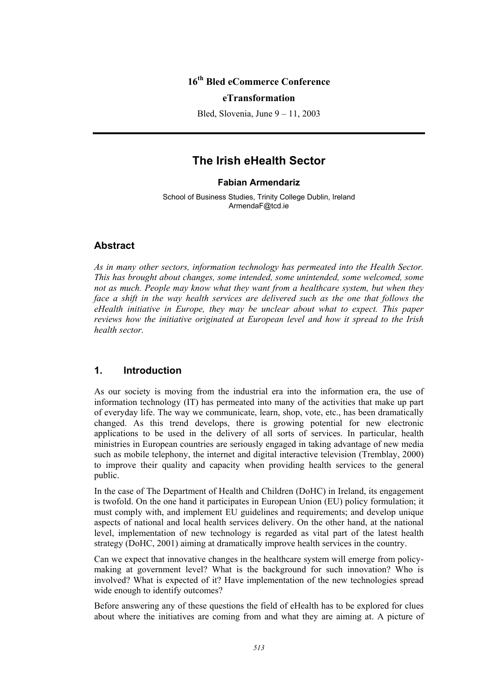### **16th Bled eCommerce Conference**

#### **eTransformation**

Bled, Slovenia, June 9 – 11, 2003

## **The Irish eHealth Sector**

#### **Fabian Armendariz**

School of Business Studies, Trinity College Dublin, Ireland ArmendaF@tcd.ie

#### **Abstract**

*As in many other sectors, information technology has permeated into the Health Sector. This has brought about changes, some intended, some unintended, some welcomed, some not as much. People may know what they want from a healthcare system, but when they face a shift in the way health services are delivered such as the one that follows the eHealth initiative in Europe, they may be unclear about what to expect. This paper reviews how the initiative originated at European level and how it spread to the Irish health sector.* 

#### **1. Introduction**

As our society is moving from the industrial era into the information era, the use of information technology (IT) has permeated into many of the activities that make up part of everyday life. The way we communicate, learn, shop, vote, etc., has been dramatically changed. As this trend develops, there is growing potential for new electronic applications to be used in the delivery of all sorts of services. In particular, health ministries in European countries are seriously engaged in taking advantage of new media such as mobile telephony, the internet and digital interactive television (Tremblay, 2000) to improve their quality and capacity when providing health services to the general public.

In the case of The Department of Health and Children (DoHC) in Ireland, its engagement is twofold. On the one hand it participates in European Union (EU) policy formulation; it must comply with, and implement EU guidelines and requirements; and develop unique aspects of national and local health services delivery. On the other hand, at the national level, implementation of new technology is regarded as vital part of the latest health strategy (DoHC, 2001) aiming at dramatically improve health services in the country.

Can we expect that innovative changes in the healthcare system will emerge from policymaking at government level? What is the background for such innovation? Who is involved? What is expected of it? Have implementation of the new technologies spread wide enough to identify outcomes?

Before answering any of these questions the field of eHealth has to be explored for clues about where the initiatives are coming from and what they are aiming at. A picture of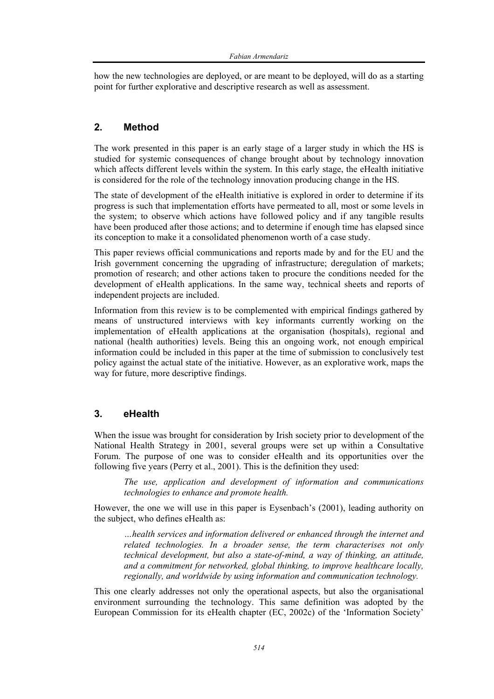how the new technologies are deployed, or are meant to be deployed, will do as a starting point for further explorative and descriptive research as well as assessment.

### **2. Method**

The work presented in this paper is an early stage of a larger study in which the HS is studied for systemic consequences of change brought about by technology innovation which affects different levels within the system. In this early stage, the eHealth initiative is considered for the role of the technology innovation producing change in the HS.

The state of development of the eHealth initiative is explored in order to determine if its progress is such that implementation efforts have permeated to all, most or some levels in the system; to observe which actions have followed policy and if any tangible results have been produced after those actions; and to determine if enough time has elapsed since its conception to make it a consolidated phenomenon worth of a case study.

This paper reviews official communications and reports made by and for the EU and the Irish government concerning the upgrading of infrastructure; deregulation of markets; promotion of research; and other actions taken to procure the conditions needed for the development of eHealth applications. In the same way, technical sheets and reports of independent projects are included.

Information from this review is to be complemented with empirical findings gathered by means of unstructured interviews with key informants currently working on the implementation of eHealth applications at the organisation (hospitals), regional and national (health authorities) levels. Being this an ongoing work, not enough empirical information could be included in this paper at the time of submission to conclusively test policy against the actual state of the initiative. However, as an explorative work, maps the way for future, more descriptive findings.

### **3. eHealth**

When the issue was brought for consideration by Irish society prior to development of the National Health Strategy in 2001, several groups were set up within a Consultative Forum. The purpose of one was to consider eHealth and its opportunities over the following five years (Perry et al., 2001). This is the definition they used:

*The use, application and development of information and communications technologies to enhance and promote health.* 

However, the one we will use in this paper is Eysenbach's (2001), leading authority on the subject, who defines eHealth as:

*…health services and information delivered or enhanced through the internet and related technologies. In a broader sense, the term characterises not only technical development, but also a state-of-mind, a way of thinking, an attitude, and a commitment for networked, global thinking, to improve healthcare locally, regionally, and worldwide by using information and communication technology.* 

This one clearly addresses not only the operational aspects, but also the organisational environment surrounding the technology. This same definition was adopted by the European Commission for its eHealth chapter (EC, 2002c) of the 'Information Society'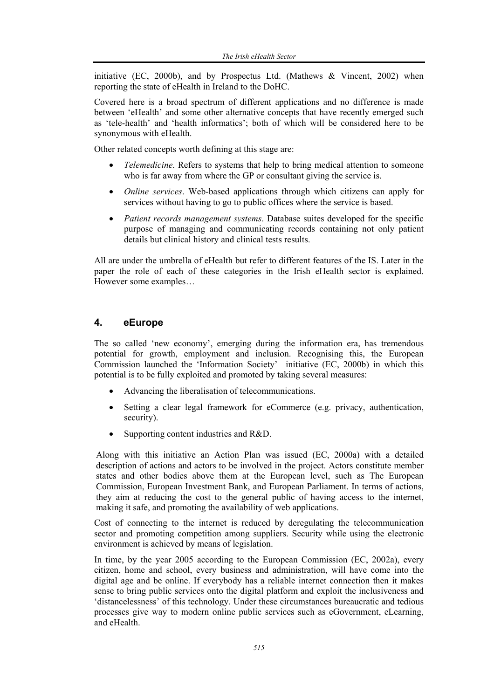initiative (EC, 2000b), and by Prospectus Ltd. (Mathews  $\&$  Vincent, 2002) when reporting the state of eHealth in Ireland to the DoHC.

Covered here is a broad spectrum of different applications and no difference is made between 'eHealth' and some other alternative concepts that have recently emerged such as 'tele-health' and 'health informatics'; both of which will be considered here to be synonymous with eHealth.

Other related concepts worth defining at this stage are:

- *Telemedicine*. Refers to systems that help to bring medical attention to someone who is far away from where the GP or consultant giving the service is.
- *Online services*. Web-based applications through which citizens can apply for services without having to go to public offices where the service is based.
- *Patient records management systems*. Database suites developed for the specific purpose of managing and communicating records containing not only patient details but clinical history and clinical tests results.

All are under the umbrella of eHealth but refer to different features of the IS. Later in the paper the role of each of these categories in the Irish eHealth sector is explained. However some examples…

#### **4. eEurope**

The so called 'new economy', emerging during the information era, has tremendous potential for growth, employment and inclusion. Recognising this, the European Commission launched the 'Information Society' initiative (EC, 2000b) in which this potential is to be fully exploited and promoted by taking several measures:

- Advancing the liberalisation of telecommunications.
- Setting a clear legal framework for eCommerce (e.g. privacy, authentication, security).
- Supporting content industries and R&D.

Along with this initiative an Action Plan was issued (EC, 2000a) with a detailed description of actions and actors to be involved in the project. Actors constitute member states and other bodies above them at the European level, such as The European Commission, European Investment Bank, and European Parliament. In terms of actions, they aim at reducing the cost to the general public of having access to the internet, making it safe, and promoting the availability of web applications.

Cost of connecting to the internet is reduced by deregulating the telecommunication sector and promoting competition among suppliers. Security while using the electronic environment is achieved by means of legislation.

In time, by the year 2005 according to the European Commission (EC, 2002a), every citizen, home and school, every business and administration, will have come into the digital age and be online. If everybody has a reliable internet connection then it makes sense to bring public services onto the digital platform and exploit the inclusiveness and 'distancelessness' of this technology. Under these circumstances bureaucratic and tedious processes give way to modern online public services such as eGovernment, eLearning, and eHealth.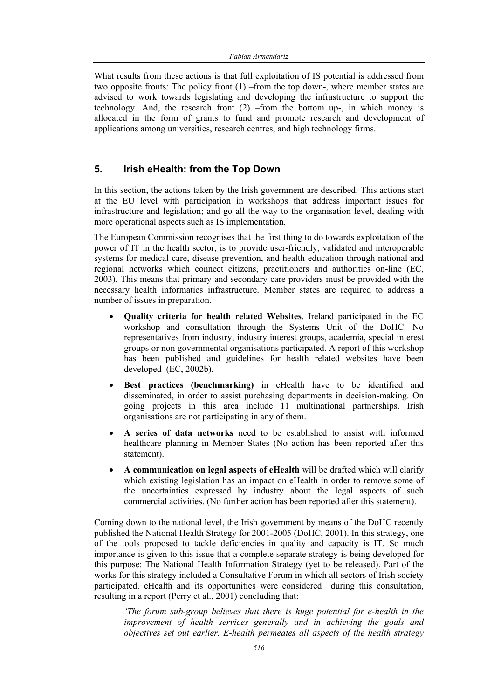What results from these actions is that full exploitation of IS potential is addressed from two opposite fronts: The policy front (1) –from the top down-, where member states are advised to work towards legislating and developing the infrastructure to support the technology. And, the research front (2) –from the bottom up-, in which money is allocated in the form of grants to fund and promote research and development of applications among universities, research centres, and high technology firms.

### **5. Irish eHealth: from the Top Down**

In this section, the actions taken by the Irish government are described. This actions start at the EU level with participation in workshops that address important issues for infrastructure and legislation; and go all the way to the organisation level, dealing with more operational aspects such as IS implementation.

The European Commission recognises that the first thing to do towards exploitation of the power of IT in the health sector, is to provide user-friendly, validated and interoperable systems for medical care, disease prevention, and health education through national and regional networks which connect citizens, practitioners and authorities on-line (EC, 2003). This means that primary and secondary care providers must be provided with the necessary health informatics infrastructure. Member states are required to address a number of issues in preparation.

- **Quality criteria for health related Websites**. Ireland participated in the EC workshop and consultation through the Systems Unit of the DoHC. No representatives from industry, industry interest groups, academia, special interest groups or non governmental organisations participated. A report of this workshop has been published and guidelines for health related websites have been developed (EC, 2002b).
- **Best practices (benchmarking)** in eHealth have to be identified and disseminated, in order to assist purchasing departments in decision-making. On going projects in this area include 11 multinational partnerships. Irish organisations are not participating in any of them.
- **A series of data networks** need to be established to assist with informed healthcare planning in Member States (No action has been reported after this statement).
- **A communication on legal aspects of eHealth** will be drafted which will clarify which existing legislation has an impact on eHealth in order to remove some of the uncertainties expressed by industry about the legal aspects of such commercial activities. (No further action has been reported after this statement).

Coming down to the national level, the Irish government by means of the DoHC recently published the National Health Strategy for 2001-2005 (DoHC, 2001). In this strategy, one of the tools proposed to tackle deficiencies in quality and capacity is IT. So much importance is given to this issue that a complete separate strategy is being developed for this purpose: The National Health Information Strategy (yet to be released). Part of the works for this strategy included a Consultative Forum in which all sectors of Irish society participated. eHealth and its opportunities were considered during this consultation, resulting in a report (Perry et al., 2001) concluding that:

*'The forum sub-group believes that there is huge potential for e-health in the improvement of health services generally and in achieving the goals and objectives set out earlier. E-health permeates all aspects of the health strategy*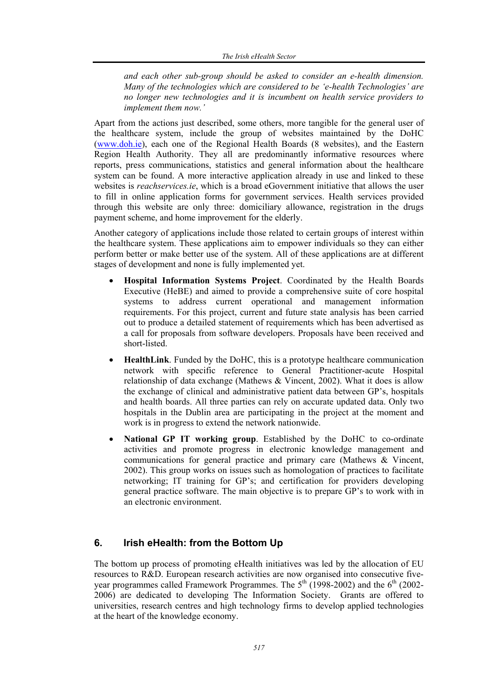*and each other sub-group should be asked to consider an e-health dimension. Many of the technologies which are considered to be 'e-health Technologies' are no longer new technologies and it is incumbent on health service providers to implement them now.'* 

Apart from the actions just described, some others, more tangible for the general user of the healthcare system, include the group of websites maintained by the DoHC (www.doh.ie), each one of the Regional Health Boards (8 websites), and the Eastern Region Health Authority. They all are predominantly informative resources where reports, press communications, statistics and general information about the healthcare system can be found. A more interactive application already in use and linked to these websites is *reachservices.ie*, which is a broad eGovernment initiative that allows the user to fill in online application forms for government services. Health services provided through this website are only three: domiciliary allowance, registration in the drugs payment scheme, and home improvement for the elderly.

Another category of applications include those related to certain groups of interest within the healthcare system. These applications aim to empower individuals so they can either perform better or make better use of the system. All of these applications are at different stages of development and none is fully implemented yet.

- **Hospital Information Systems Project**. Coordinated by the Health Boards Executive (HeBE) and aimed to provide a comprehensive suite of core hospital systems to address current operational and management information requirements. For this project, current and future state analysis has been carried out to produce a detailed statement of requirements which has been advertised as a call for proposals from software developers. Proposals have been received and short-listed.
- **HealthLink**. Funded by the DoHC, this is a prototype healthcare communication network with specific reference to General Practitioner-acute Hospital relationship of data exchange (Mathews & Vincent, 2002). What it does is allow the exchange of clinical and administrative patient data between GP's, hospitals and health boards. All three parties can rely on accurate updated data. Only two hospitals in the Dublin area are participating in the project at the moment and work is in progress to extend the network nationwide.
- **National GP IT working group**. Established by the DoHC to co-ordinate activities and promote progress in electronic knowledge management and communications for general practice and primary care (Mathews & Vincent, 2002). This group works on issues such as homologation of practices to facilitate networking; IT training for GP's; and certification for providers developing general practice software. The main objective is to prepare GP's to work with in an electronic environment.

### **6. Irish eHealth: from the Bottom Up**

The bottom up process of promoting eHealth initiatives was led by the allocation of EU resources to R&D. European research activities are now organised into consecutive fiveyear programmes called Framework Programmes. The  $5<sup>th</sup>$  (1998-2002) and the  $6<sup>th</sup>$  (2002-2006) are dedicated to developing The Information Society. Grants are offered to universities, research centres and high technology firms to develop applied technologies at the heart of the knowledge economy.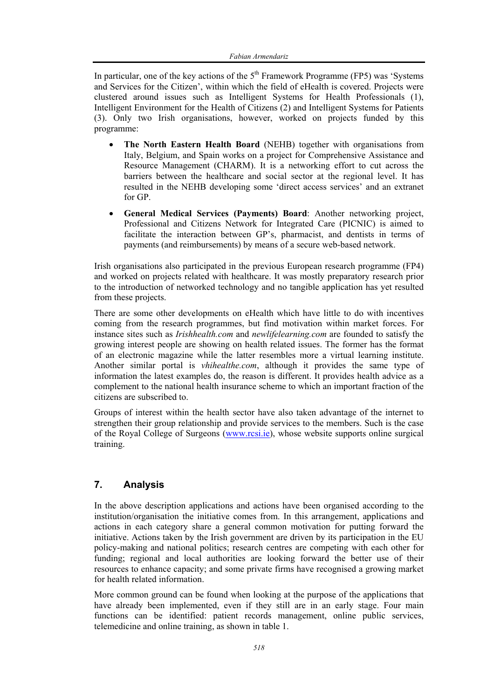In particular, one of the key actions of the  $5<sup>th</sup>$  Framework Programme (FP5) was 'Systems and Services for the Citizen', within which the field of eHealth is covered. Projects were clustered around issues such as Intelligent Systems for Health Professionals (1), Intelligent Environment for the Health of Citizens (2) and Intelligent Systems for Patients (3). Only two Irish organisations, however, worked on projects funded by this programme:

- **The North Eastern Health Board** (NEHB) together with organisations from Italy, Belgium, and Spain works on a project for Comprehensive Assistance and Resource Management (CHARM). It is a networking effort to cut across the barriers between the healthcare and social sector at the regional level. It has resulted in the NEHB developing some 'direct access services' and an extranet for GP.
- **General Medical Services (Payments) Board**: Another networking project, Professional and Citizens Network for Integrated Care (PICNIC) is aimed to facilitate the interaction between GP's, pharmacist, and dentists in terms of payments (and reimbursements) by means of a secure web-based network.

Irish organisations also participated in the previous European research programme (FP4) and worked on projects related with healthcare. It was mostly preparatory research prior to the introduction of networked technology and no tangible application has yet resulted from these projects.

There are some other developments on eHealth which have little to do with incentives coming from the research programmes, but find motivation within market forces. For instance sites such as *Irishhealth.com* and *newlifelearning.com* are founded to satisfy the growing interest people are showing on health related issues. The former has the format of an electronic magazine while the latter resembles more a virtual learning institute. Another similar portal is *vhihealthe.com*, although it provides the same type of information the latest examples do, the reason is different. It provides health advice as a complement to the national health insurance scheme to which an important fraction of the citizens are subscribed to.

Groups of interest within the health sector have also taken advantage of the internet to strengthen their group relationship and provide services to the members. Such is the case of the Royal College of Surgeons (www.rcsi.ie), whose website supports online surgical training.

### **7. Analysis**

In the above description applications and actions have been organised according to the institution/organisation the initiative comes from. In this arrangement, applications and actions in each category share a general common motivation for putting forward the initiative. Actions taken by the Irish government are driven by its participation in the EU policy-making and national politics; research centres are competing with each other for funding; regional and local authorities are looking forward the better use of their resources to enhance capacity; and some private firms have recognised a growing market for health related information.

More common ground can be found when looking at the purpose of the applications that have already been implemented, even if they still are in an early stage. Four main functions can be identified: patient records management, online public services, telemedicine and online training, as shown in table 1.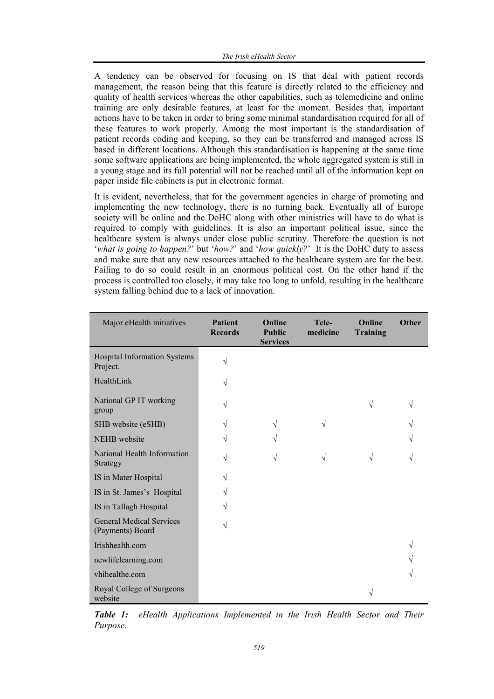A tendency can be observed for focusing on IS that deal with patient records management, the reason being that this feature is directly related to the efficiency and quality of health services whereas the other capabilities, such as telemedicine and online training are only desirable features, at least for the moment. Besides that, important actions have to be taken in order to bring some minimal standardisation required for all of these features to work properly. Among the most important is the standardisation of patient records coding and keeping, so they can be transferred and managed across IS based in different locations. Although this standardisation is happening at the same time some software applications are being implemented, the whole aggregated system is still in a young stage and its full potential will not be reached until all of the information kept on paper inside file cabinets is put in electronic format.

It is evident, nevertheless, that for the government agencies in charge of promoting and implementing the new technology, there is no turning back. Eventually all of Europe society will be online and the DoHC along with other ministries will have to do what is required to comply with guidelines. It is also an important political issue, since the healthcare system is always under close public scrutiny. Therefore the question is not '*what is going to happen?*' but '*how?*' and '*how quickly?*' It is the DoHC duty to assess and make sure that any new resources attached to the healthcare system are for the best. Failing to do so could result in an enormous political cost. On the other hand if the process is controlled too closely, it may take too long to unfold, resulting in the healthcare system falling behind due to a lack of innovation.

| Major eHealth initiatives                           | <b>Patient</b><br><b>Records</b> | Online<br><b>Public</b><br><b>Services</b> | Tele-<br>medicine | Online<br><b>Training</b> | Other |
|-----------------------------------------------------|----------------------------------|--------------------------------------------|-------------------|---------------------------|-------|
| <b>Hospital Information Systems</b><br>Project.     | V                                |                                            |                   |                           |       |
| HealthLink                                          | V                                |                                            |                   |                           |       |
| National GP IT working<br>group                     |                                  |                                            |                   | $\sqrt{}$                 |       |
| SHB website (eSHB)                                  |                                  | V                                          |                   |                           |       |
| NEHB website                                        | V                                | V                                          |                   |                           |       |
| National Health Information<br>Strategy             | J                                | V                                          | V                 | V                         |       |
| IS in Mater Hospital                                | V                                |                                            |                   |                           |       |
| IS in St. James's Hospital                          | V                                |                                            |                   |                           |       |
| IS in Tallagh Hospital                              |                                  |                                            |                   |                           |       |
| <b>General Medical Services</b><br>(Payments) Board | V                                |                                            |                   |                           |       |
| Irishhealth.com                                     |                                  |                                            |                   |                           |       |
| newlifelearning.com                                 |                                  |                                            |                   |                           |       |
| vhihealthe.com                                      |                                  |                                            |                   |                           |       |
| Royal College of Surgeons<br>website                |                                  |                                            |                   |                           |       |

*Table 1: eHealth Applications Implemented in the Irish Health Sector and Their Purpose.*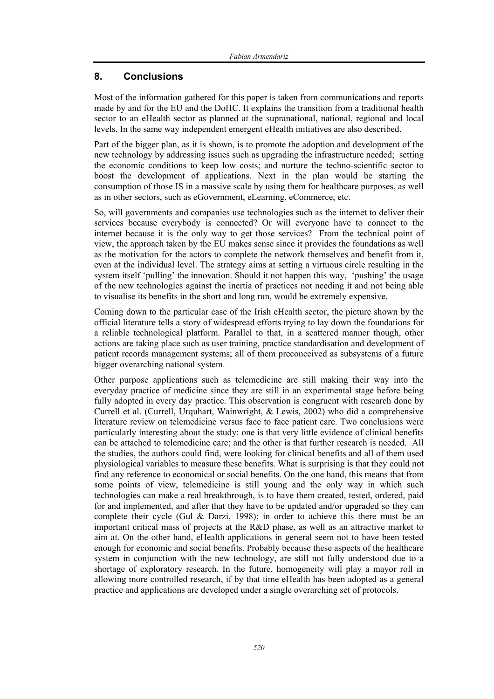#### **8. Conclusions**

Most of the information gathered for this paper is taken from communications and reports made by and for the EU and the DoHC. It explains the transition from a traditional health sector to an eHealth sector as planned at the supranational, national, regional and local levels. In the same way independent emergent eHealth initiatives are also described.

Part of the bigger plan, as it is shown, is to promote the adoption and development of the new technology by addressing issues such as upgrading the infrastructure needed; setting the economic conditions to keep low costs; and nurture the techno-scientific sector to boost the development of applications. Next in the plan would be starting the consumption of those IS in a massive scale by using them for healthcare purposes, as well as in other sectors, such as eGovernment, eLearning, eCommerce, etc.

So, will governments and companies use technologies such as the internet to deliver their services because everybody is connected? Or will everyone have to connect to the internet because it is the only way to get those services? From the technical point of view, the approach taken by the EU makes sense since it provides the foundations as well as the motivation for the actors to complete the network themselves and benefit from it, even at the individual level. The strategy aims at setting a virtuous circle resulting in the system itself 'pulling' the innovation. Should it not happen this way, 'pushing' the usage of the new technologies against the inertia of practices not needing it and not being able to visualise its benefits in the short and long run, would be extremely expensive.

Coming down to the particular case of the Irish eHealth sector, the picture shown by the official literature tells a story of widespread efforts trying to lay down the foundations for a reliable technological platform. Parallel to that, in a scattered manner though, other actions are taking place such as user training, practice standardisation and development of patient records management systems; all of them preconceived as subsystems of a future bigger overarching national system.

Other purpose applications such as telemedicine are still making their way into the everyday practice of medicine since they are still in an experimental stage before being fully adopted in every day practice. This observation is congruent with research done by Currell et al. (Currell, Urquhart, Wainwright, & Lewis, 2002) who did a comprehensive literature review on telemedicine versus face to face patient care. Two conclusions were particularly interesting about the study: one is that very little evidence of clinical benefits can be attached to telemedicine care; and the other is that further research is needed. All the studies, the authors could find, were looking for clinical benefits and all of them used physiological variables to measure these benefits. What is surprising is that they could not find any reference to economical or social benefits. On the one hand, this means that from some points of view, telemedicine is still young and the only way in which such technologies can make a real breakthrough, is to have them created, tested, ordered, paid for and implemented, and after that they have to be updated and/or upgraded so they can complete their cycle (Gul  $\&$  Darzi, 1998); in order to achieve this there must be an important critical mass of projects at the R&D phase, as well as an attractive market to aim at. On the other hand, eHealth applications in general seem not to have been tested enough for economic and social benefits. Probably because these aspects of the healthcare system in conjunction with the new technology, are still not fully understood due to a shortage of exploratory research. In the future, homogeneity will play a mayor roll in allowing more controlled research, if by that time eHealth has been adopted as a general practice and applications are developed under a single overarching set of protocols.